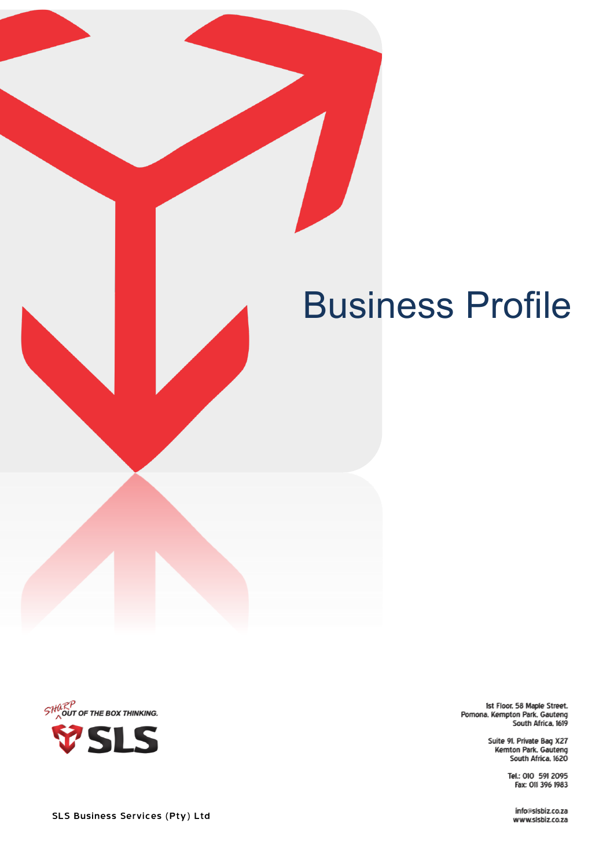





.1st Floor, 58 Maple Street<br>Pomona, Kempton Park, Gauteng<br>South Africa, 1619

Suite 91, Private Bag X27<br>Kemton Park, Gauteng<br>South Africa, 1620

Tel.: 010 591 2095 Fax: 011 396 1983

info@slsbiz.co.za www.slsbiz.co.za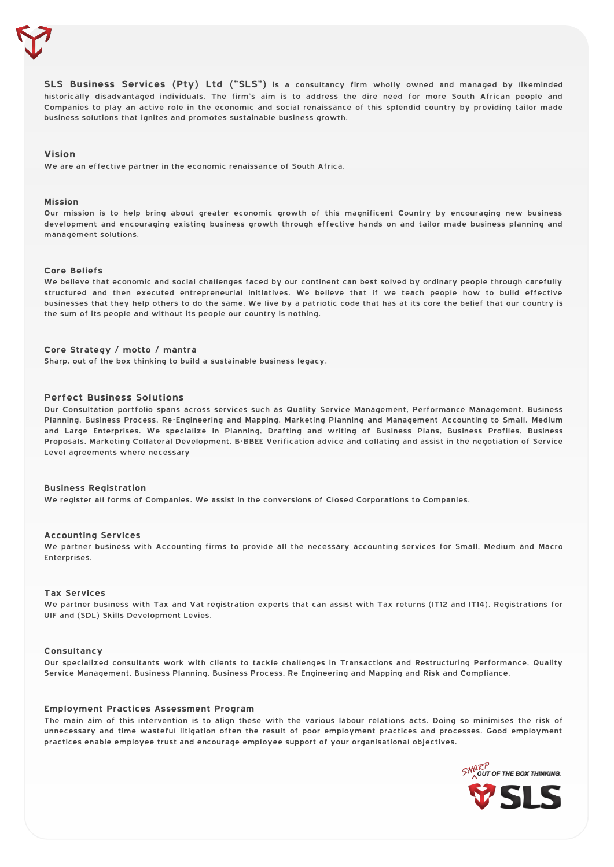

**SLS Business Services (Pty) Ltd ("SLS")** is a consultancy firm wholly owned and managed by likeminded historically disadvantaged individuals. The firm's aim is to address the dire need for more South African people and Companies to play an active role in the economic and social renaissance of this splendid country by providing tailor made business solutions that ignites and promotes sustainable business growth.

## **Vision**

We are an effective partner in the economic renaissance of South Africa.

#### **Mission**

Our mission is to help bring about greater economic growth of this magnificent Country by encouraging new business development and encouraging existing business growth through effective hands on and tailor made business planning and management solutions.

## **Core Beliefs**

We believe that economic and social challenges faced by our continent can best solved by ordinary people through carefully structured and then executed entrepreneurial initiatives. We believe that if we teach people how to build effective businesses that they help others to do the same. We live by a patriotic code that has at its core the belief that our country is the sum of its people and without its people our country is nothing.

## **Core Strategy / motto / mantra**

Sharp, out of the box thinking to build a sustainable business legacy.

#### **Perfect Business Solutions**

Our Consultation portfolio spans across services such as Quality Service Management, Performance Management, Business Planning, Business Process, Re-Engineering and Mapping, Marketing Planning and Management Accounting to Small, Medium and Large Enterprises. We specialize in Planning, Drafting and writing of Business Plans, Business Profiles, Business Proposals, Marketing Collateral Development, B-BBEE Verification advice and collating and assist in the negotiation of Service Level agreements where necessary

#### **Business Registration**

We register all forms of Companies. We assist in the conversions of Closed Corporations to Companies.

#### **Accounting Services**

We partner business with Accounting firms to provide all the necessary accounting services for Small, Medium and Macro Enterprises.

### **Tax Services**

We partner business with Tax and Vat registration experts that can assist with Tax returns (IT12 and IT14), Registrations for UIF and (SDL) Skills Development Levies.

## **Consultancy**

Our specialized consultants work with clients to tackle challenges in Transactions and Restructuring Performance, Quality Service Management, Business Planning, Business Process, Re Engineering and Mapping and Risk and Compliance.

#### **Employment Practices Assessment Program**

The main aim of this intervention is to align these with the various labour relations acts. Doing so minimises the risk of unnecessary and time wasteful litigation often the result of poor employment practices and processes. Good employment practices enable employee trust and encourage employee support of your organisational objectives.